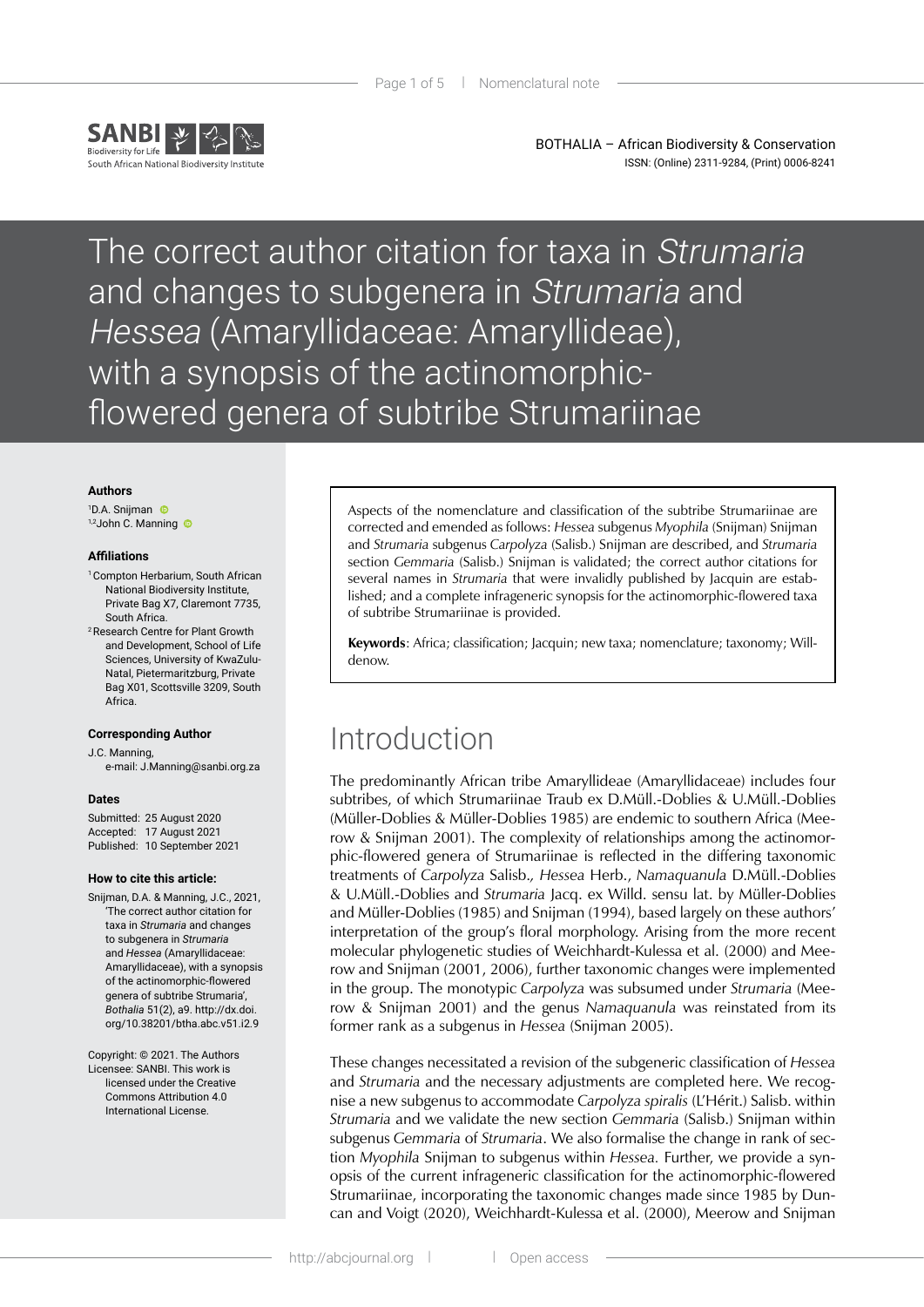

BOTHALIA – African Biodiversity & Conservation ISSN: (Online) 2311-9284, (Print) 0006-8241

The correct author citation for taxa in Strumaria and changes to subgenera in Strumaria and Hessea (Amaryllidaceae: Amaryllideae), with a synopsis of the actinomorphicflowered genera of subtribe Strumariinae

### **Authors**

1 D.A. Snijman 1,2John C. Manning <sup>®</sup>

#### **Affiliations**

- <sup>1</sup> Compton Herbarium, South African National Biodiversity Institute, Private Bag X7, Claremont 7735, South Africa.<br><sup>2</sup> Research Centre for Plant Growth
- and Development, School of Life Sciences, University of KwaZulu-Natal, Pietermaritzburg, Private Bag X01, Scottsville 3209, South Africa.

#### **Corresponding Author**

J.C. Manning,

e-mail: J.Manning@sanbi.org.za

### **Dates**

Submitted: 25 August 2020 Accepted: 17 August 2021 Published: 10 September 2021

#### **How to cite this article:**

Snijman, D.A. & Manning, J.C., 2021, 'The correct author citation for taxa in *Strumaria* and changes to subgenera in *Strumaria*  and *Hessea* (Amaryllidaceae: Amaryllidaceae), with a synopsis of the actinomorphic-flowered genera of subtribe Strumaria', *Bothalia* 51(2), a9. [http://dx.doi.](http://dx.doi.org/10.38201/btha.abc.v51.i2) [org/10.38201/btha.abc.v51.i2](http://dx.doi.org/10.38201/btha.abc.v51.i2).9

Copyright: © 2021. The Authors Licensee: SANBI. This work is licensed under the Creative Commons Attribution 4.0 International License.

Aspects of the nomenclature and classification of the subtribe Strumariinae are corrected and emended as follows: *Hessea* subgenus *Myophila* (Snijman) Snijman and *Strumaria* subgenus *Carpolyza* (Salisb.) Snijman are described, and *Strumaria*  section *Gemmaria* (Salisb.) Snijman is validated; the correct author citations for several names in *Strumaria* that were invalidly published by Jacquin are established; and a complete infrageneric synopsis for the actinomorphic-flowered taxa of subtribe Strumariinae is provided.

**Keywords**: Africa; classification; Jacquin; new taxa; nomenclature; taxonomy; Willdenow.

## Introduction

The predominantly African tribe Amaryllideae (Amaryllidaceae) includes four subtribes, of which Strumariinae Traub ex D.Müll.-Doblies & U.Müll.-Doblies (Müller-Doblies & Müller-Doblies 1985) are endemic to southern Africa (Meerow & Snijman 2001). The complexity of relationships among the actinomorphic-flowered genera of Strumariinae is reflected in the differing taxonomic treatments of *Carpolyza* Salisb.*, Hessea* Herb., *Namaquanula* D.Müll.-Doblies & U.Müll.-Doblies and *Strumaria* Jacq. ex Willd. sensu lat. by Müller-Doblies and Müller-Doblies (1985) and Snijman (1994), based largely on these authors' interpretation of the group's floral morphology. Arising from the more recent molecular phylogenetic studies of Weichhardt-Kulessa et al. (2000) and Meerow and Snijman (2001, 2006), further taxonomic changes were implemented in the group. The monotypic *Carpolyza* was subsumed under *Strumaria* (Meerow & Snijman 2001) and the genus *Namaquanula* was reinstated from its former rank as a subgenus in *Hessea* (Snijman 2005).

These changes necessitated a revision of the subgeneric classification of *Hessea* and *Strumaria* and the necessary adjustments are completed here. We recognise a new subgenus to accommodate *Carpolyza spiralis* (L'Hérit.) Salisb. within *Strumaria* and we validate the new section *Gemmaria* (Salisb.) Snijman within subgenus *Gemmaria* of *Strumaria*. We also formalise the change in rank of section *Myophila* Snijman to subgenus within *Hessea.* Further, we provide a synopsis of the current infrageneric classification for the actinomorphic-flowered Strumariinae, incorporating the taxonomic changes made since 1985 by Duncan and Voigt (2020), Weichhardt-Kulessa et al. (2000), Meerow and Snijman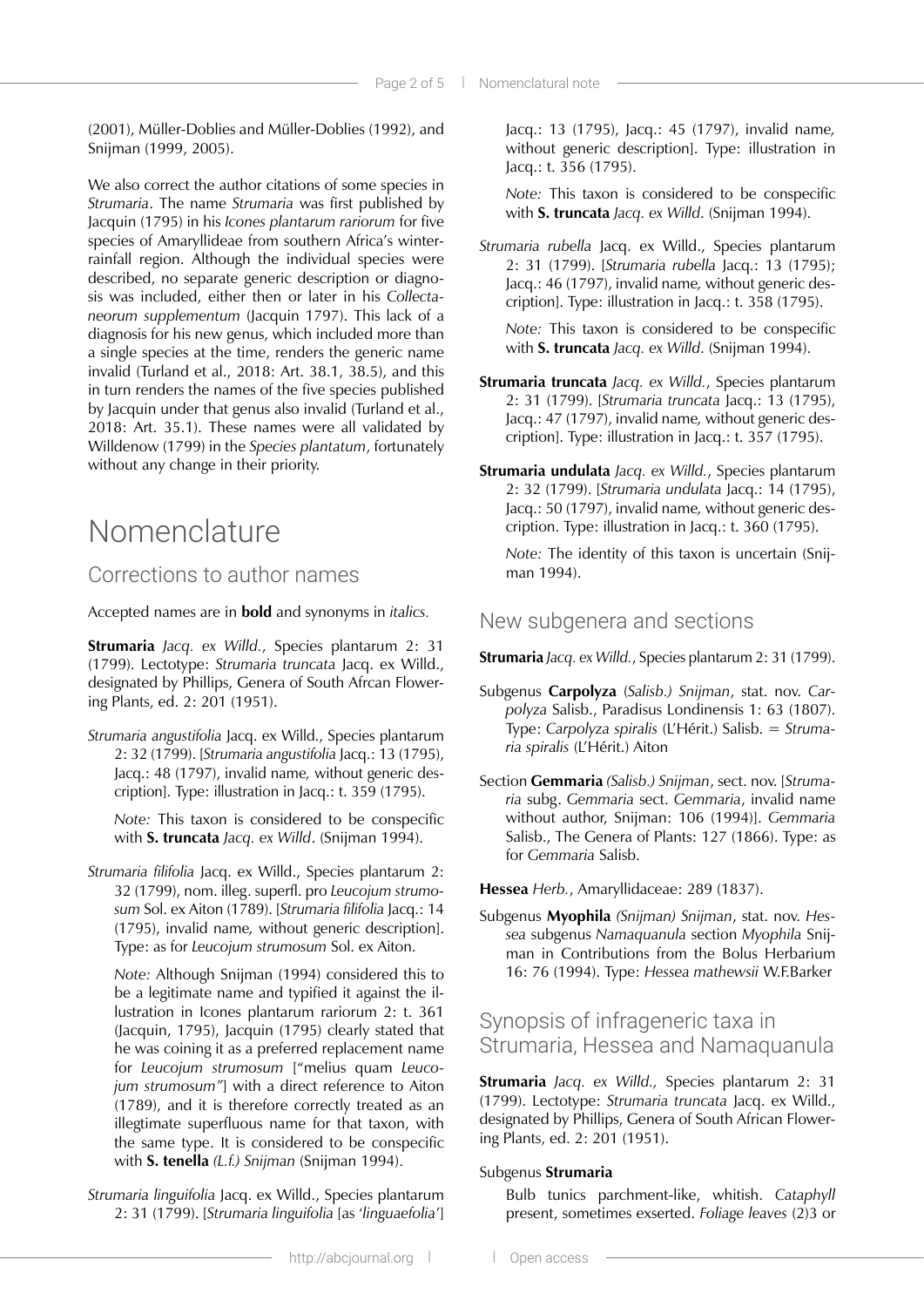(2001), Müller-Doblies and Müller-Doblies (1992), and Snijman (1999, 2005).

We also correct the author citations of some species in *Strumaria*. The name *Strumaria* was first published by Jacquin (1795) in his *Icones plantarum rariorum* for five species of Amaryllideae from southern Africa's winterrainfall region. Although the individual species were described, no separate generic description or diagnosis was included, either then or later in his *Collectaneorum supplementum* (Jacquin 1797). This lack of a diagnosis for his new genus, which included more than a single species at the time, renders the generic name invalid (Turland et al., 2018: Art. 38.1, 38.5), and this in turn renders the names of the five species published by Jacquin under that genus also invalid (Turland et al., 2018: Art. 35.1). These names were all validated by Willdenow (1799) in the *Species plantatum*, fortunately without any change in their priority.

# Nomenclature

## Corrections to author names

Accepted names are in **bold** and synonyms in *italics.*

**Strumaria** *Jacq. ex Willd.*, Species plantarum 2: 31 (1799). Lectotype: *Strumaria truncata* Jacq. ex Willd., designated by Phillips, Genera of South Afrcan Flowering Plants, ed. 2: 201 (1951).

*Strumaria angustifolia* Jacq. ex Willd., Species plantarum 2: 32 (1799). [*Strumaria angustifolia* Jacq.: 13 (1795), Jacq.: 48 (1797), invalid name*,* without generic description]. Type: illustration in Jacq.: t. 359 (1795).

*Note:* This taxon is considered to be conspecific with **S. truncata** *Jacq. ex Willd*. (Snijman 1994).

*Strumaria filifolia* Jacq. ex Willd., Species plantarum 2: 32 (1799), nom. illeg. superfl. pro *Leucojum strumosum* Sol. ex Aiton (1789). [*Strumaria filifolia* Jacq.: 14 (1795), invalid name*,* without generic description]. Type: as for *Leucojum strumosum* Sol. ex Aiton.

*Note:* Although Snijman (1994) considered this to be a legitimate name and typified it against the illustration in Icones plantarum rariorum 2: t. 361 (Jacquin, 1795), Jacquin (1795) clearly stated that he was coining it as a preferred replacement name for *Leucojum strumosum* ["melius quam *Leucojum strumosum"*] with a direct reference to Aiton (1789), and it is therefore correctly treated as an illegtimate superfluous name for that taxon, with the same type. It is considered to be conspecific with **S. tenella** *(L.f.) Snijman* (Snijman 1994).

*Strumaria linguifolia* Jacq. ex Willd., Species plantarum 2: 31 (1799). [*Strumaria linguifolia* [as '*linguaefolia*'] Jacq.: 13 (1795), Jacq.: 45 (1797), invalid name*,* without generic description]. Type: illustration in Jacq.: t. 356 (1795).

*Note:* This taxon is considered to be conspecific with **S. truncata** *Jacq. ex Willd*. (Snijman 1994).

*Strumaria rubella* Jacq. ex Willd., Species plantarum 2: 31 (1799). [*Strumaria rubella* Jacq.: 13 (1795); Jacq.: 46 (1797), invalid name*,* without generic description]. Type: illustration in Jacq.: t. 358 (1795).

*Note:* This taxon is considered to be conspecific with **S. truncata** *Jacq. ex Willd*. (Snijman 1994).

- **Strumaria truncata** *Jacq. ex Willd.*, Species plantarum 2: 31 (1799). [*Strumaria truncata* Jacq.: 13 (1795), Jacq.: 47 (1797), invalid name*,* without generic description]. Type: illustration in Jacq.: t. 357 (1795).
- **Strumaria undulata** *Jacq. ex Willd.*, Species plantarum 2: 32 (1799). [*Strumaria undulata* Jacq.: 14 (1795), Jacq.: 50 (1797), invalid name*,* without generic description. Type: illustration in Jacq.: t. 360 (1795).

*Note:* The identity of this taxon is uncertain (Snijman 1994).

## New subgenera and sections

**Strumaria** *Jacq. ex Willd.*, Species plantarum 2: 31 (1799).

- Subgenus **Carpolyza** (*Salisb.) Snijman*, stat. nov. *Carpolyza* Salisb., Paradisus Londinensis 1: 63 (1807). Type: *Carpolyza spiralis* (L'Hérit.) Salisb. = *Strumaria spiralis* (L'Hérit.) Aiton
- Section **Gemmaria** *(Salisb.) Snijman*, sect. nov. [*Strumaria* subg. *Gemmaria* sect. *Gemmaria*, invalid name without author, Snijman: 106 (1994)]. *Gemmaria* Salisb., The Genera of Plants: 127 (1866). Type: as for *Gemmaria* Salisb.

**Hessea** *Herb.*, Amaryllidaceae: 289 (1837).

Subgenus **Myophila** *(Snijman) Snijman*, stat. nov. *Hessea* subgenus *Namaquanula* section *Myophila* Snijman in Contributions from the Bolus Herbarium 16: 76 (1994). Type: *Hessea mathewsii* W.F.Barker

## Synopsis of infrageneric taxa in Strumaria, Hessea and Namaquanula

**Strumaria** *Jacq. ex Willd.,* Species plantarum 2: 31 (1799). Lectotype: *Strumaria truncata* Jacq. ex Willd., designated by Phillips, Genera of South African Flowering Plants, ed. 2: 201 (1951).

## Subgenus **Strumaria**

Bulb tunics parchment-like, whitish. *Cataphyll*  present, sometimes exserted. *Foliage leaves* (2)3 or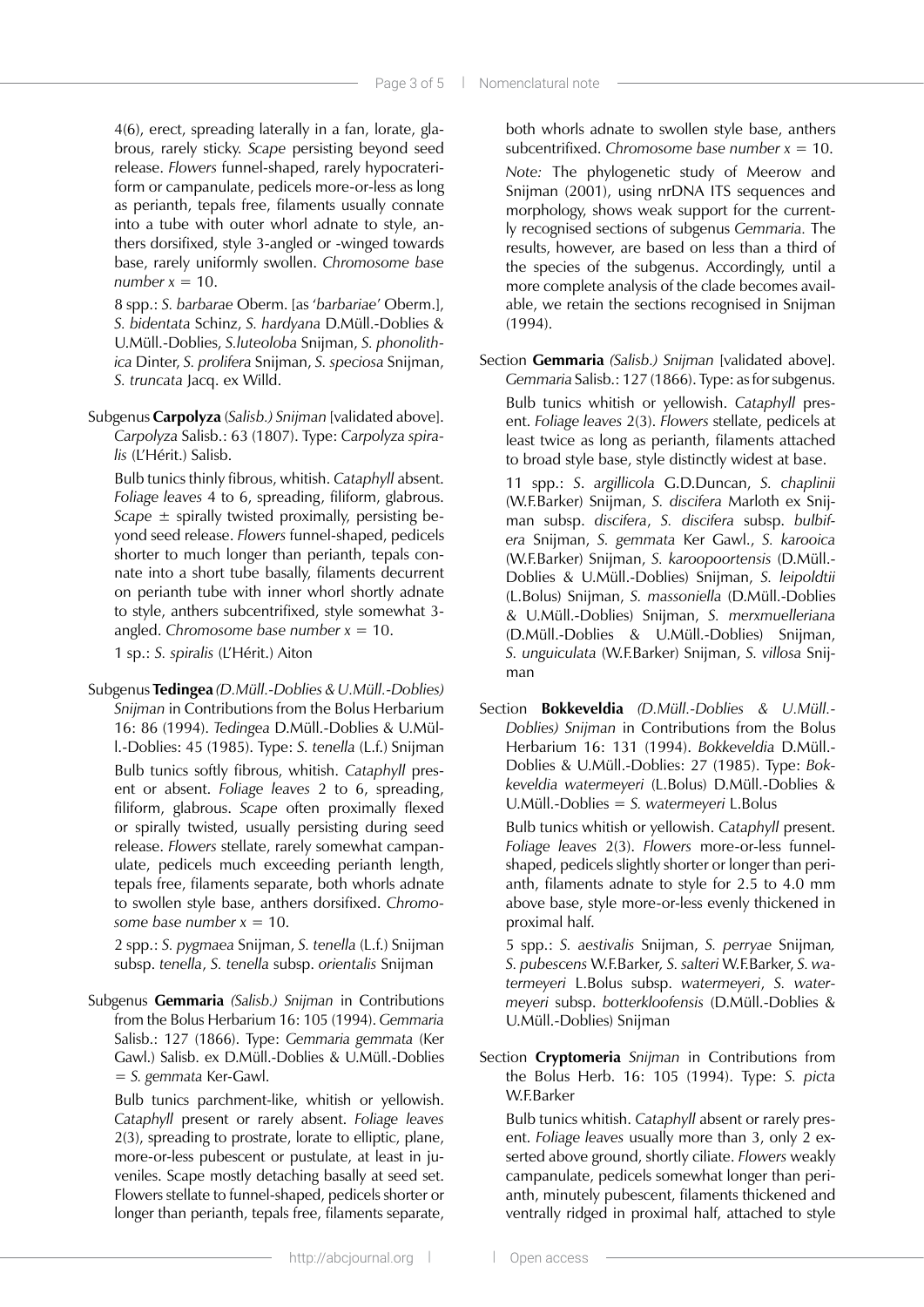4(6), erect, spreading laterally in a fan, lorate, glabrous, rarely sticky. *Scape* persisting beyond seed release. *Flowers* funnel-shaped, rarely hypocrateriform or campanulate, pedicels more-or-less as long as perianth, tepals free, filaments usually connate into a tube with outer whorl adnate to style, anthers dorsifixed, style 3-angled or -winged towards base, rarely uniformly swollen. *Chromosome base*   $number x = 10$ .

8 spp.: *S. barbarae* Oberm. [as '*barbariae*' Oberm.], *S. bidentata* Schinz, *S. hardyana* D.Müll.-Doblies & U.Müll.-Doblies, *S.luteoloba* Snijman, *S. phonolithica* Dinter, *S. prolifera* Snijman, *S. speciosa* Snijman, *S. truncata* Jacq. ex Willd.

Subgenus **Carpolyza** (*Salisb.) Snijman* [validated above]. *Carpolyza* Salisb.: 63 (1807). Type: *Carpolyza spiralis* (L'Hérit.) Salisb.

Bulb tunics thinly fibrous, whitish. *Cataphyll* absent. *Foliage leaves* 4 to 6, spreading, filiform, glabrous. *Scape* ± spirally twisted proximally, persisting beyond seed release. *Flowers* funnel-shaped, pedicels shorter to much longer than perianth, tepals connate into a short tube basally, filaments decurrent on perianth tube with inner whorl shortly adnate to style, anthers subcentrifixed, style somewhat 3 angled. *Chromosome base number x* = 10.

1 sp.: *S. spiralis* (L'Hérit.) Aiton

Subgenus **Tedingea** *(D.Müll.-Doblies & U.Müll.-Doblies) Snijman* in Contributions from the Bolus Herbarium 16: 86 (1994). *Tedingea* D.Müll.-Doblies & U.Müll.-Doblies: 45 (1985). Type: *S. tenella* (L.f.) Snijman Bulb tunics softly fibrous, whitish. *Cataphyll* present or absent. *Foliage leaves* 2 to 6, spreading, filiform, glabrous. *Scape* often proximally flexed or spirally twisted, usually persisting during seed release. *Flowers* stellate, rarely somewhat campanulate, pedicels much exceeding perianth length, tepals free, filaments separate, both whorls adnate to swollen style base, anthers dorsifixed. *Chromosome base number x* = 10.

2 spp.: *S. pygmaea* Snijman, *S. tenella* (L.f.) Snijman subsp. *tenella*, *S. tenella* subsp. *orientalis* Snijman

Subgenus **Gemmaria** *(Salisb.) Snijman* in Contributions from the Bolus Herbarium 16: 105 (1994). *Gemmaria* Salisb.: 127 (1866). Type: *Gemmaria gemmata* (Ker Gawl.) Salisb. ex D.Müll.-Doblies & U.Müll.-Doblies = *S. gemmata* Ker-Gawl.

Bulb tunics parchment-like, whitish or yellowish. *Cataphyll* present or rarely absent. *Foliage leaves* 2(3), spreading to prostrate, lorate to elliptic, plane, more-or-less pubescent or pustulate, at least in juveniles. Scape mostly detaching basally at seed set. Flowers stellate to funnel-shaped, pedicels shorter or longer than perianth, tepals free, filaments separate,

both whorls adnate to swollen style base, anthers subcentrifixed. *Chromosome base number x* = 10. *Note:* The phylogenetic study of Meerow and Snijman (2001), using nrDNA ITS sequences and morphology, shows weak support for the currently recognised sections of subgenus *Gemmaria.* The results, however, are based on less than a third of the species of the subgenus. Accordingly, until a more complete analysis of the clade becomes available, we retain the sections recognised in Snijman (1994).

Section **Gemmaria** *(Salisb.) Snijman* [validated above]. *Gemmaria* Salisb.: 127 (1866). Type: as for subgenus. Bulb tunics whitish or yellowish. *Cataphyll* present. *Foliage leaves* 2(3). *Flowers* stellate, pedicels at least twice as long as perianth, filaments attached to broad style base, style distinctly widest at base.

11 spp.: *S*. *argillicola* G.D.Duncan, *S. chaplinii* (W.F.Barker) Snijman, *S. discifera* Marloth ex Snijman subsp. *discifera*, *S. discifera* subsp. *bulbifera* Snijman, *S. gemmata* Ker Gawl., *S. karooica* (W.F.Barker) Snijman, *S. karoopoortensis* (D.Müll.- Doblies & U.Müll.-Doblies) Snijman, *S. leipoldtii* (L.Bolus) Snijman, *S. massoniella* (D.Müll.-Doblies & U.Müll.-Doblies) Snijman, *S. merxmuelleriana* (D.Müll.-Doblies & U.Müll.-Doblies) Snijman, *S. unguiculata* (W.F.Barker) Snijman, *S. villosa* Snijman

Section **Bokkeveldia** *(D.Müll.-Doblies & U.Müll.- Doblies) Snijman* in Contributions from the Bolus Herbarium 16: 131 (1994). *Bokkeveldia* D.Müll.- Doblies & U.Müll.-Doblies: 27 (1985). Type: *Bokkeveldia watermeyeri* (L.Bolus) D.Müll.-Doblies & U.Müll.-Doblies = *S. watermeyeri* L.Bolus

Bulb tunics whitish or yellowish. *Cataphyll* present. *Foliage leaves* 2(3). *Flowers* more-or-less funnelshaped, pedicels slightly shorter or longer than perianth, filaments adnate to style for 2.5 to 4.0 mm above base, style more-or-less evenly thickened in proximal half.

5 spp.: *S. aestivalis* Snijman, *S. perryae* Snijman*, S. pubescens* W.F.Barker*, S. salteri* W.F.Barker, *S. watermeyeri* L.Bolus subsp. *watermeyeri*, *S. watermeyeri* subsp. *botterkloofensis* (D.Müll.-Doblies & U.Müll.-Doblies) Snijman

Section **Cryptomeria** *Snijman* in Contributions from the Bolus Herb. 16: 105 (1994). Type: *S. picta* W.F.Barker

Bulb tunics whitish. *Cataphyll* absent or rarely present. *Foliage leaves* usually more than 3, only 2 exserted above ground, shortly ciliate. *Flowers* weakly campanulate, pedicels somewhat longer than perianth, minutely pubescent, filaments thickened and ventrally ridged in proximal half, attached to style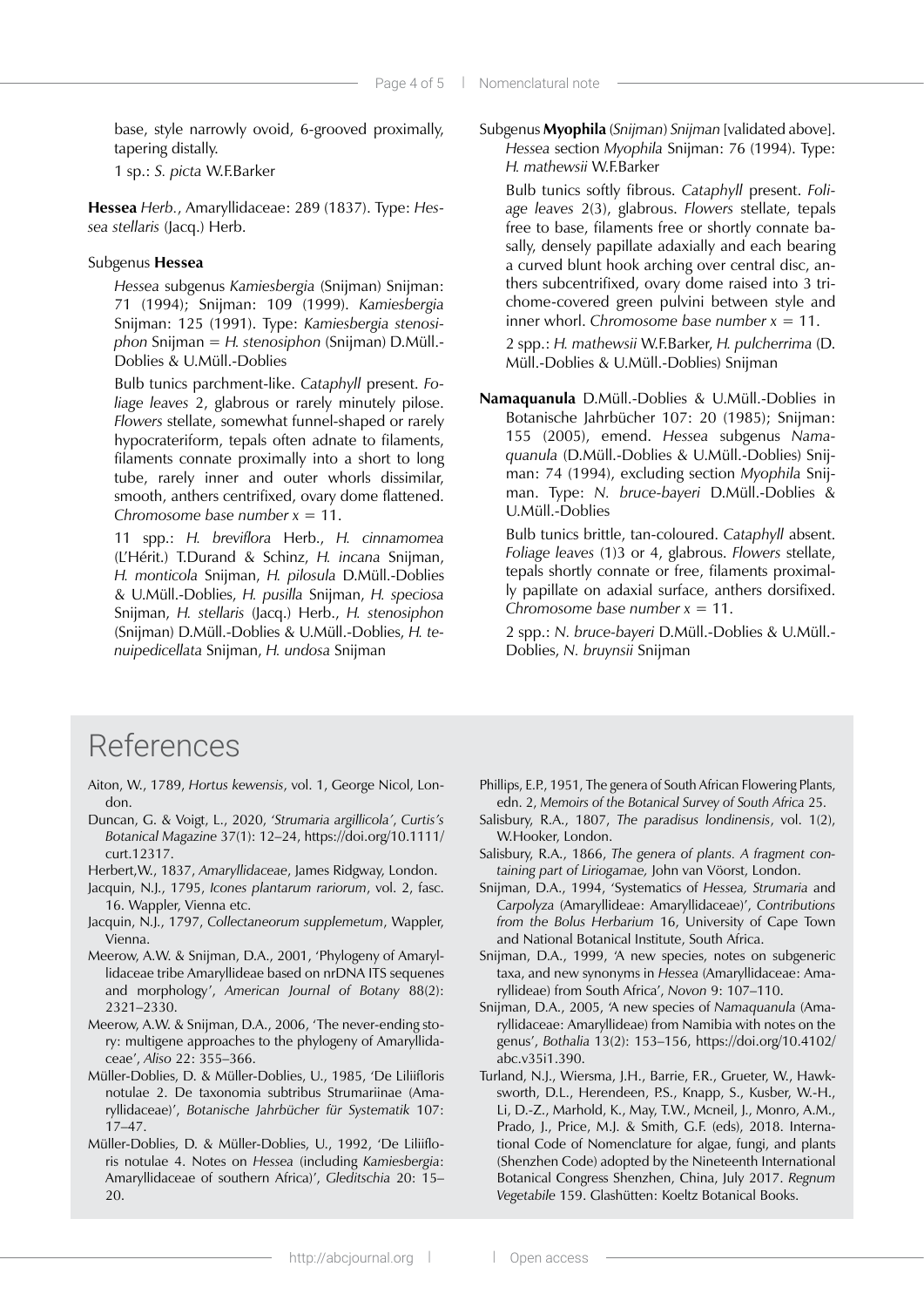base, style narrowly ovoid, 6-grooved proximally, tapering distally.

1 sp.: *S. picta* W.F.Barker

**Hessea** *Herb.*, Amaryllidaceae: 289 (1837). Type: *Hessea stellaris* (Jacq.) Herb.

### Subgenus **Hessea**

*Hessea* subgenus *Kamiesbergia* (Snijman) Snijman: 71 (1994); Snijman: 109 (1999). *Kamiesbergia* Snijman: 125 (1991). Type: *Kamiesbergia stenosiphon* Snijman = *H. stenosiphon* (Snijman) D.Müll.- Doblies & U.Müll.-Doblies

Bulb tunics parchment-like. *Cataphyll* present. *Foliage leaves* 2, glabrous or rarely minutely pilose. *Flowers* stellate, somewhat funnel-shaped or rarely hypocrateriform, tepals often adnate to filaments, filaments connate proximally into a short to long tube, rarely inner and outer whorls dissimilar, smooth, anthers centrifixed, ovary dome flattened. *Chromosome base number x* = 11.

11 spp.: *H. breviflora* Herb., *H. cinnamomea* (L'Hérit.) T.Durand & Schinz, *H. incana* Snijman, *H. monticola* Snijman, *H. pilosula* D.Müll.-Doblies & U.Müll.-Doblies, *H. pusilla* Snijman, *H. speciosa* Snijman, *H. stellaris* (Jacq.) Herb., *H. stenosiphon* (Snijman) D.Müll.-Doblies & U.Müll.-Doblies, *H. tenuipedicellata* Snijman, *H. undosa* Snijman

Subgenus **Myophila** (*Snijman*) *Snijman* [validated above]. *Hessea* section *Myophila* Snijman: 76 (1994). Type: *H. mathewsii* W.F.Barker

Bulb tunics softly fibrous. *Cataphyll* present. *Foliage leaves* 2(3), glabrous. *Flowers* stellate, tepals free to base, filaments free or shortly connate basally, densely papillate adaxially and each bearing a curved blunt hook arching over central disc, anthers subcentrifixed, ovary dome raised into 3 trichome-covered green pulvini between style and inner whorl. *Chromosome base number x* = 11.

2 spp.: *H. mathewsii* W.F.Barker, *H. pulcherrima* (D. Müll.-Doblies & U.Müll.-Doblies) Snijman

**Namaquanula** D.Müll.-Doblies & U.Müll.-Doblies in Botanische Jahrbücher 107: 20 (1985); Snijman: 155 (2005), emend. *Hessea* subgenus *Namaquanula* (D.Müll.-Doblies & U.Müll.-Doblies) Snijman: 74 (1994), excluding section *Myophila* Snijman. Type: *N. bruce-bayeri* D.Müll.-Doblies & U.Müll.-Doblies

Bulb tunics brittle, tan-coloured. *Cataphyll* absent. *Foliage leaves* (1)3 or 4, glabrous. *Flowers* stellate, tepals shortly connate or free, filaments proximally papillate on adaxial surface, anthers dorsifixed. *Chromosome base number x* = 11.

2 spp.: *N. bruce-bayeri* D.Müll.-Doblies & U.Müll.- Doblies, *N. bruynsii* Snijman

# References

- Aiton, W., 1789, *Hortus kewensis*, vol. 1, George Nicol, London.
- Duncan, G. & Voigt, L., 2020, '*Strumaria argillicola'*, *Curtis's Botanical Magazine* 37(1): 12–24, [https://doi.org/10.1111/](https://doi.org/10.1111/curt.12317) [curt.12317.](https://doi.org/10.1111/curt.12317)
- Herbert,W., 1837, *Amaryllidaceae*, James Ridgway, London.
- Jacquin, N.J., 1795, *Icones plantarum rariorum*, vol. 2, fasc. 16. Wappler, Vienna etc.
- Jacquin, N.J., 1797, *Collectaneorum supplemetum*, Wappler, Vienna.
- Meerow, A.W. & Snijman, D.A., 2001, 'Phylogeny of Amaryllidaceae tribe Amaryllideae based on nrDNA ITS sequenes and morphology', *American Journal of Botany* 88(2): 2321–2330.
- Meerow, A.W. & Snijman, D.A., 2006, 'The never-ending story: multigene approaches to the phylogeny of Amaryllidaceae', *Aliso* 22: 355–366.
- Müller-Doblies, D. & Müller-Doblies, U., 1985, 'De Liliifloris notulae 2. De taxonomia subtribus Strumariinae (Amaryllidaceae)', *Botanische Jahrbücher für Systematik* 107: 17–47.
- Müller-Doblies, D. & Müller-Doblies, U., 1992, 'De Liliifloris notulae 4. Notes on *Hessea* (including *Kamiesbergia*: Amaryllidaceae of southern Africa)', *Gleditschia* 20: 15– 20.
- Phillips, E.P., 1951, The genera of South African Flowering Plants, edn. 2, *Memoirs of the Botanical Survey of South Africa* 25.
- Salisbury, R.A., 1807, *The paradisus londinensis*, vol. 1(2), W.Hooker, London.
- Salisbury, R.A., 1866, *The genera of plants. A fragment containing part of Liriogamae,* John van Vöorst, London.
- Snijman, D.A., 1994, 'Systematics of *Hessea, Strumaria* and *Carpolyza* (Amaryllideae: Amaryllidaceae)', *Contributions from the Bolus Herbarium* 16, University of Cape Town and National Botanical Institute, South Africa.
- Snijman, D.A., 1999, 'A new species, notes on subgeneric taxa, and new synonyms in *Hessea* (Amaryllidaceae: Amaryllideae) from South Africa', *Novon* 9: 107–110.
- Snijman, D.A., 2005, 'A new species of *Namaquanula* (Amaryllidaceae: Amaryllideae) from Namibia with notes on the genus', *Bothalia* 13(2): 153–156, [https://doi.org/10.4102/](https://doi.org/10.4102/abc.v35i1.390) [abc.v35i1.390.](https://doi.org/10.4102/abc.v35i1.390)
- Turland, N.J., Wiersma, J.H., Barrie, F.R., Grueter, W., Hawksworth, D.L., Herendeen, P.S., Knapp, S., Kusber, W.-H., Li, D.-Z., Marhold, K., May, T.W., Mcneil, J., Monro, A.M., Prado, J., Price, M.J. & Smith, G.F. (eds), 2018. International Code of Nomenclature for algae, fungi, and plants (Shenzhen Code) adopted by the Nineteenth International Botanical Congress Shenzhen, China, July 2017. *Regnum Vegetabile* 159. Glashütten: Koeltz Botanical Books.